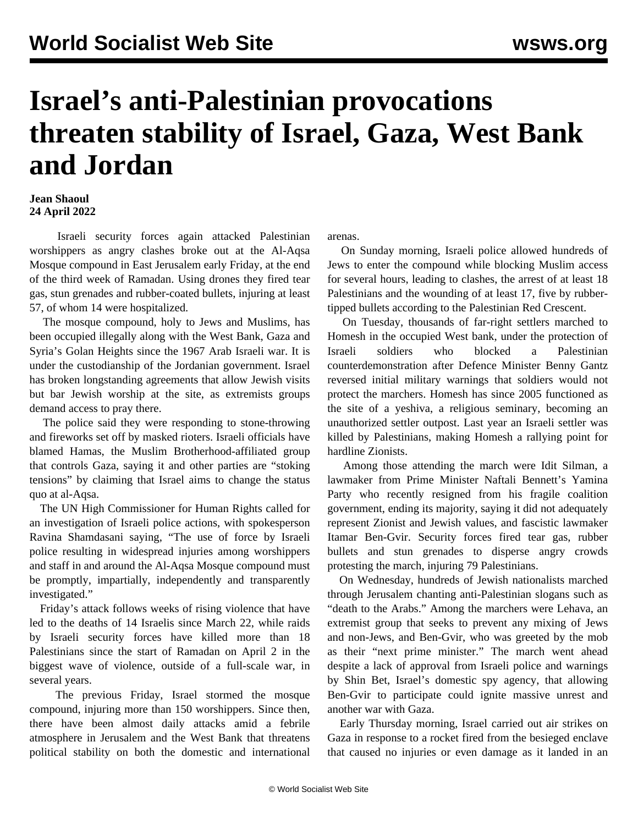## **Israel's anti-Palestinian provocations threaten stability of Israel, Gaza, West Bank and Jordan**

## **Jean Shaoul 24 April 2022**

 Israeli security forces again attacked Palestinian worshippers as angry clashes broke out at the Al-Aqsa Mosque compound in East Jerusalem early Friday, at the end of the third week of Ramadan. Using drones they fired tear gas, stun grenades and rubber-coated bullets, injuring at least 57, of whom 14 were hospitalized.

 The mosque compound, holy to Jews and Muslims, has been occupied illegally along with the West Bank, Gaza and Syria's Golan Heights since the 1967 Arab Israeli war. It is under the custodianship of the Jordanian government. Israel has broken longstanding agreements that allow Jewish visits but bar Jewish worship at the site, as extremists groups demand access to pray there.

 The police said they were responding to stone-throwing and fireworks set off by masked rioters. Israeli officials have blamed Hamas, the Muslim Brotherhood-affiliated group that controls Gaza, saying it and other parties are "stoking tensions" by claiming that Israel aims to change the status quo at al-Aqsa.

 The UN High Commissioner for Human Rights called for an investigation of Israeli police actions, with spokesperson Ravina Shamdasani saying, "The use of force by Israeli police resulting in widespread injuries among worshippers and staff in and around the Al-Aqsa Mosque compound must be promptly, impartially, independently and transparently investigated."

 Friday's attack follows weeks of rising violence that have led to the deaths of 14 Israelis since March 22, while raids by Israeli security forces have killed more than 18 Palestinians since the start of Ramadan on April 2 in the biggest wave of violence, outside of a full-scale war, in several years.

 The previous Friday, Israel stormed the mosque compound, injuring more than 150 worshippers. Since then, there have been almost daily attacks amid a febrile atmosphere in Jerusalem and the West Bank that threatens political stability on both the domestic and international arenas.

 On Sunday morning, Israeli police allowed hundreds of Jews to enter the compound while blocking Muslim access for several hours, leading to clashes, the arrest of at least 18 Palestinians and the wounding of at least 17, five by rubbertipped bullets according to the Palestinian Red Crescent.

 On Tuesday, thousands of far-right settlers marched to Homesh in the occupied West bank, under the protection of Israeli soldiers who blocked a Palestinian counterdemonstration after Defence Minister Benny Gantz reversed initial military warnings that soldiers would not protect the marchers. Homesh has since 2005 functioned as the site of a yeshiva, a religious seminary, becoming an unauthorized settler outpost. Last year an Israeli settler was killed by Palestinians, making Homesh a rallying point for hardline Zionists.

 Among those attending the march were Idit Silman, a lawmaker from Prime Minister Naftali Bennett's Yamina Party who recently resigned from his fragile coalition government, ending its majority, saying it did not adequately represent Zionist and Jewish values, and fascistic lawmaker Itamar Ben-Gvir. Security forces fired tear gas, rubber bullets and stun grenades to disperse angry crowds protesting the march, injuring 79 Palestinians.

 On Wednesday, hundreds of Jewish nationalists marched through Jerusalem chanting anti-Palestinian slogans such as "death to the Arabs." Among the marchers were Lehava, an extremist group that seeks to prevent any mixing of Jews and non-Jews, and Ben-Gvir, who was greeted by the mob as their "next prime minister." The march went ahead despite a lack of approval from Israeli police and warnings by Shin Bet, Israel's domestic spy agency, that allowing Ben-Gvir to participate could ignite massive unrest and another war with Gaza.

 Early Thursday morning, Israel carried out air strikes on Gaza in response to a rocket fired from the besieged enclave that caused no injuries or even damage as it landed in an